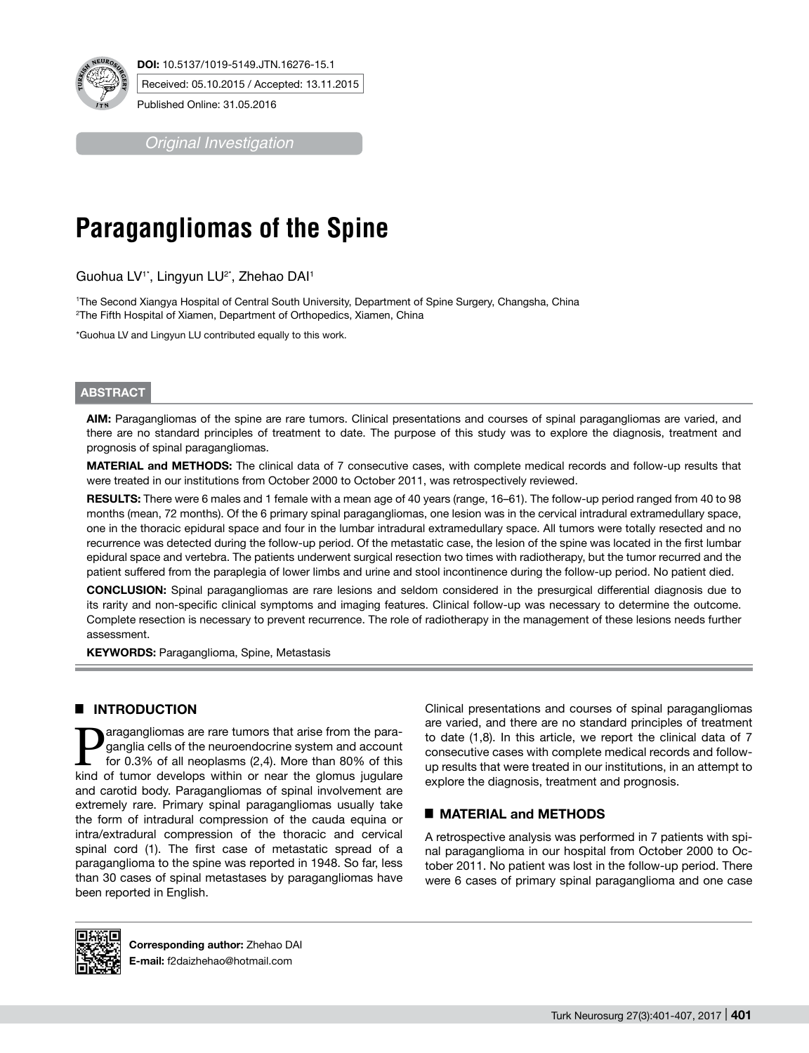

**DOI:** 10.5137/1019-5149.JTN.16276-15.1

Received: 05.10.2015 / Accepted: 13.11.2015

Published Online: 31.05.2016

*Original Investigation*

# **Paragangliomas of the Spine**

Guohua LV<sup>1\*</sup>, Lingyun LU<sup>2\*</sup>, Zhehao DAI<sup>1</sup>

1 The Second Xiangya Hospital of Central South University, Department of Spine Surgery, Changsha, China 2 The Fifth Hospital of Xiamen, Department of Orthopedics, Xiamen, China

\*Guohua LV and Lingyun LU contributed equally to this work.

## **ABSTRACT**

**AIm:** Paragangliomas of the spine are rare tumors. Clinical presentations and courses of spinal paragangliomas are varied, and there are no standard principles of treatment to date. The purpose of this study was to explore the diagnosis, treatment and prognosis of spinal paragangliomas.

**MaterIal and Methods:** The clinical data of 7 consecutive cases, with complete medical records and follow-up results that were treated in our institutions from October 2000 to October 2011, was retrospectively reviewed.

**Results:** There were 6 males and 1 female with a mean age of 40 years (range, 16–61). The follow-up period ranged from 40 to 98 months (mean, 72 months). Of the 6 primary spinal paragangliomas, one lesion was in the cervical intradural extramedullary space, one in the thoracic epidural space and four in the lumbar intradural extramedullary space. All tumors were totally resected and no recurrence was detected during the follow-up period. Of the metastatic case, the lesion of the spine was located in the first lumbar epidural space and vertebra. The patients underwent surgical resection two times with radiotherapy, but the tumor recurred and the patient suffered from the paraplegia of lower limbs and urine and stool incontinence during the follow-up period. No patient died.

**ConclusIon:** Spinal paragangliomas are rare lesions and seldom considered in the presurgical differential diagnosis due to its rarity and non-specific clinical symptoms and imaging features. Clinical follow-up was necessary to determine the outcome. Complete resection is necessary to prevent recurrence. The role of radiotherapy in the management of these lesions needs further assessment.

**KEYWORDS: Paraganglioma, Spine, Metastasis** 

# **E INTRODUCTION**

**Paragangliomas are rare tumors that arise from the para-**<br>for 0.3% of all neoplasms (2,4). More than 80% of this<br>kind of tumor develops within or near the clomus jugulars ganglia cells of the neuroendocrine system and account kind of tumor develops within or near the glomus jugulare and carotid body. Paragangliomas of spinal involvement are extremely rare. Primary spinal paragangliomas usually take the form of intradural compression of the cauda equina or intra/extradural compression of the thoracic and cervical spinal cord (1). The first case of metastatic spread of a paraganglioma to the spine was reported in 1948. So far, less than 30 cases of spinal metastases by paragangliomas have been reported in English.

Clinical presentations and courses of spinal paragangliomas are varied, and there are no standard principles of treatment to date (1,8). In this article, we report the clinical data of 7 consecutive cases with complete medical records and followup results that were treated in our institutions, in an attempt to explore the diagnosis, treatment and prognosis.

# █ **MATERIAL and METHODS**

A retrospective analysis was performed in 7 patients with spinal paraganglioma in our hospital from October 2000 to October 2011. No patient was lost in the follow-up period. There were 6 cases of primary spinal paraganglioma and one case



**Corresponding author:** Zhehao DAI **E-mail:** f2daizhehao@hotmail.com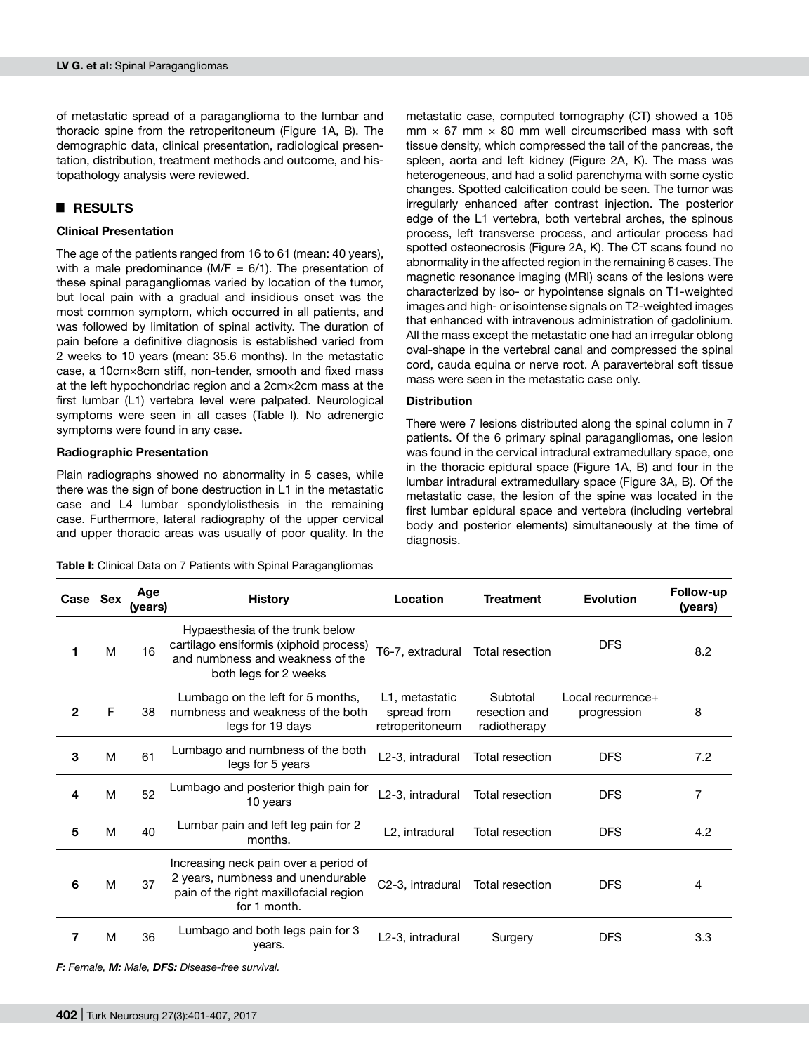of metastatic spread of a paraganglioma to the lumbar and thoracic spine from the retroperitoneum (Figure 1A, B). The demographic data, clinical presentation, radiological presentation, distribution, treatment methods and outcome, and histopathology analysis were reviewed.

# █ **RESULTS**

### **Clinical Presentation**

The age of the patients ranged from 16 to 61 (mean: 40 years), with a male predominance (M*/*F = 6*/*1). The presentation of these spinal paragangliomas varied by location of the tumor, but local pain with a gradual and insidious onset was the most common symptom, which occurred in all patients, and was followed by limitation of spinal activity. The duration of pain before a definitive diagnosis is established varied from 2 weeks to 10 years (mean: 35.6 months). In the metastatic case, a 10cm×8cm stiff, non-tender, smooth and fixed mass at the left hypochondriac region and a 2cm×2cm mass at the first lumbar (L1) vertebra level were palpated. Neurological symptoms were seen in all cases (Table I). No adrenergic symptoms were found in any case.

#### **Radiographic Presentation**

Plain radiographs showed no abnormality in 5 cases, while there was the sign of bone destruction in L1 in the metastatic case and L4 lumbar spondylolisthesis in the remaining case. Furthermore, lateral radiography of the upper cervical and upper thoracic areas was usually of poor quality. In the

**Table I:** Clinical Data on 7 Patients with Spinal Paragangliomas

metastatic case, computed tomography (CT) showed a 105  $mm \times 67$  mm  $\times 80$  mm well circumscribed mass with soft tissue density, which compressed the tail of the pancreas, the spleen, aorta and left kidney (Figure 2A, K). The mass was heterogeneous, and had a solid parenchyma with some cystic changes. Spotted calcification could be seen. The tumor was irregularly enhanced after contrast injection. The posterior edge of the L1 vertebra, both vertebral arches, the spinous process, left transverse process, and articular process had spotted osteonecrosis (Figure 2A, K). The CT scans found no abnormality in the affected region in the remaining 6 cases. The magnetic resonance imaging (MRI) scans of the lesions were characterized by iso- or hypointense signals on T1-weighted images and high- or isointense signals on T2-weighted images that enhanced with intravenous administration of gadolinium. All the mass except the metastatic one had an irregular oblong oval-shape in the vertebral canal and compressed the spinal cord, cauda equina or nerve root. A paravertebral soft tissue mass were seen in the metastatic case only.

## **Distribution**

There were 7 lesions distributed along the spinal column in 7 patients. Of the 6 primary spinal paragangliomas, one lesion was found in the cervical intradural extramedullary space, one in the thoracic epidural space (Figure 1A, B) and four in the lumbar intradural extramedullary space (Figure 3A, B). Of the metastatic case, the lesion of the spine was located in the first lumbar epidural space and vertebra (including vertebral body and posterior elements) simultaneously at the time of diagnosis.

| Case Sex     |   | Age<br>(years) | <b>History</b>                                                                                                                         | Location                                         | <b>Treatment</b>                          | <b>Evolution</b>                 | Follow-up<br>(years) |
|--------------|---|----------------|----------------------------------------------------------------------------------------------------------------------------------------|--------------------------------------------------|-------------------------------------------|----------------------------------|----------------------|
| 1            | M | 16             | Hypaesthesia of the trunk below<br>cartilago ensiformis (xiphoid process)<br>and numbness and weakness of the<br>both legs for 2 weeks | T6-7, extradural                                 | Total resection                           | <b>DFS</b>                       | 8.2                  |
| $\mathbf{2}$ | F | 38             | Lumbago on the left for 5 months,<br>numbness and weakness of the both<br>legs for 19 days                                             | L1, metastatic<br>spread from<br>retroperitoneum | Subtotal<br>resection and<br>radiotherapy | Local recurrence+<br>progression | 8                    |
| 3            | M | 61             | Lumbago and numbness of the both<br>legs for 5 years                                                                                   | L2-3, intradural                                 | Total resection                           | <b>DFS</b>                       | 7.2                  |
| 4            | M | 52             | Lumbago and posterior thigh pain for<br>10 years                                                                                       | L2-3, intradural                                 | Total resection                           | <b>DFS</b>                       | 7                    |
| 5            | M | 40             | Lumbar pain and left leg pain for 2<br>months.                                                                                         | L <sub>2</sub> , intradural                      | Total resection                           | <b>DFS</b>                       | 4.2                  |
| 6            | M | 37             | Increasing neck pain over a period of<br>2 years, numbness and unendurable<br>pain of the right maxillofacial region<br>for 1 month.   | C2-3, intradural                                 | Total resection                           | <b>DFS</b>                       | 4                    |
| 7            | M | 36             | Lumbago and both legs pain for 3<br>years.                                                                                             | L2-3, intradural                                 | Surgery                                   | <b>DFS</b>                       | 3.3                  |

*F: Female, M: Male, DFS: Disease-free survival.*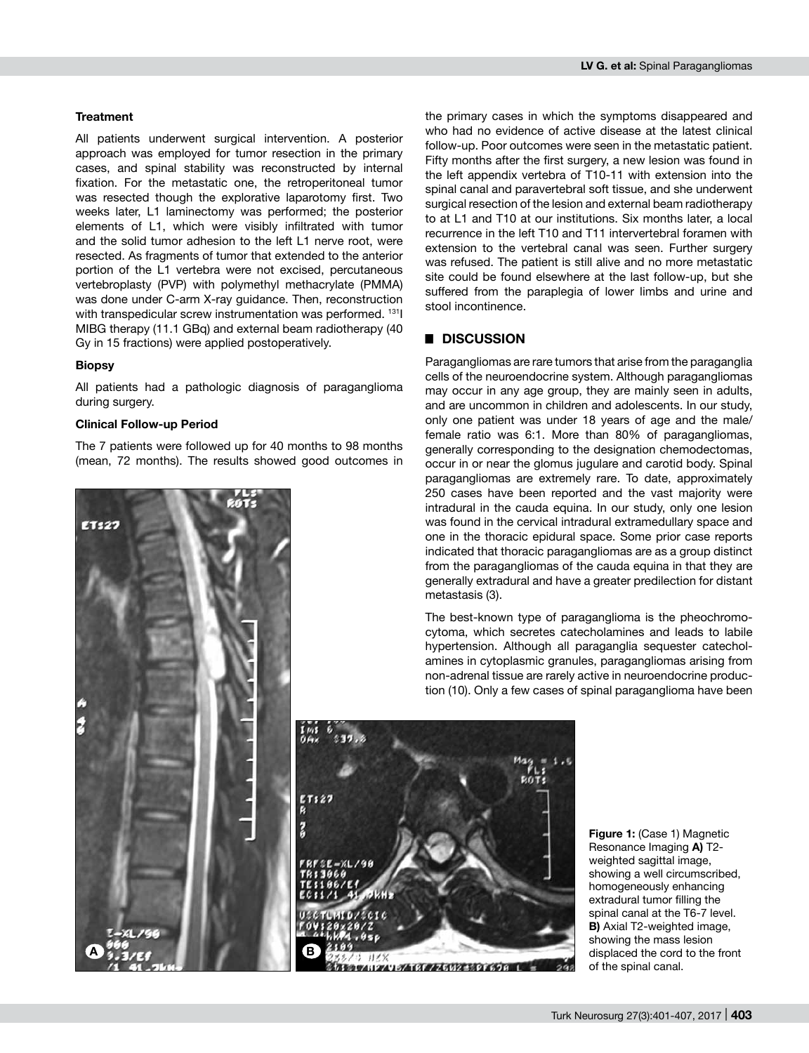#### **Treatment**

All patients underwent surgical intervention. A posterior approach was employed for tumor resection in the primary cases, and spinal stability was reconstructed by internal fixation. For the metastatic one, the retroperitoneal tumor was resected though the explorative laparotomy first. Two weeks later, L1 laminectomy was performed; the posterior elements of L1, which were visibly infiltrated with tumor and the solid tumor adhesion to the left L1 nerve root, were resected. As fragments of tumor that extended to the anterior portion of the L1 vertebra were not excised, percutaneous vertebroplasty (PVP) with polymethyl methacrylate (PMMA) was done under C-arm X-ray guidance. Then, reconstruction with transpedicular screw instrumentation was performed. 1311 MIBG therapy (11.1 GBq) and external beam radiotherapy (40 Gy in 15 fractions) were applied postoperatively.

#### **Biopsy**

All patients had a pathologic diagnosis of paraganglioma during surgery.

#### **Clinical Follow-up Period**

The 7 patients were followed up for 40 months to 98 months (mean, 72 months). The results showed good outcomes in



the primary cases in which the symptoms disappeared and who had no evidence of active disease at the latest clinical follow-up. Poor outcomes were seen in the metastatic patient. Fifty months after the first surgery, a new lesion was found in the left appendix vertebra of T10-11 with extension into the spinal canal and paravertebral soft tissue, and she underwent surgical resection of the lesion and external beam radiotherapy to at L1 and T10 at our institutions. Six months later, a local recurrence in the left T10 and T11 intervertebral foramen with extension to the vertebral canal was seen. Further surgery was refused. The patient is still alive and no more metastatic site could be found elsewhere at the last follow-up, but she suffered from the paraplegia of lower limbs and urine and stool incontinence.

# █ **DISCUSSION**

Paragangliomas are rare tumors that arise from the paraganglia cells of the neuroendocrine system. Although paragangliomas may occur in any age group, they are mainly seen in adults, and are uncommon in children and adolescents. In our study, only one patient was under 18 years of age and the male/ female ratio was 6:1. More than 80% of paragangliomas, generally corresponding to the designation chemodectomas, occur in or near the glomus jugulare and carotid body. Spinal paragangliomas are extremely rare. To date, approximately 250 cases have been reported and the vast majority were intradural in the cauda equina. In our study, only one lesion was found in the cervical intradural extramedullary space and one in the thoracic epidural space. Some prior case reports indicated that thoracic paragangliomas are as a group distinct from the paragangliomas of the cauda equina in that they are generally extradural and have a greater predilection for distant metastasis (3).

The best-known type of paraganglioma is the pheochromocytoma, which secretes catecholamines and leads to labile hypertension. Although all paraganglia sequester catecholamines in cytoplasmic granules, paragangliomas arising from non-adrenal tissue are rarely active in neuroendocrine production (10). Only a few cases of spinal paraganglioma have been



**Figure 1:** (Case 1) Magnetic Resonance Imaging **a)** T2 weighted sagittal image, showing a well circumscribed, homogeneously enhancing extradural tumor filling the spinal canal at the T6-7 level. **B)** Axial T2-weighted image, showing the mass lesion displaced the cord to the front of the spinal canal.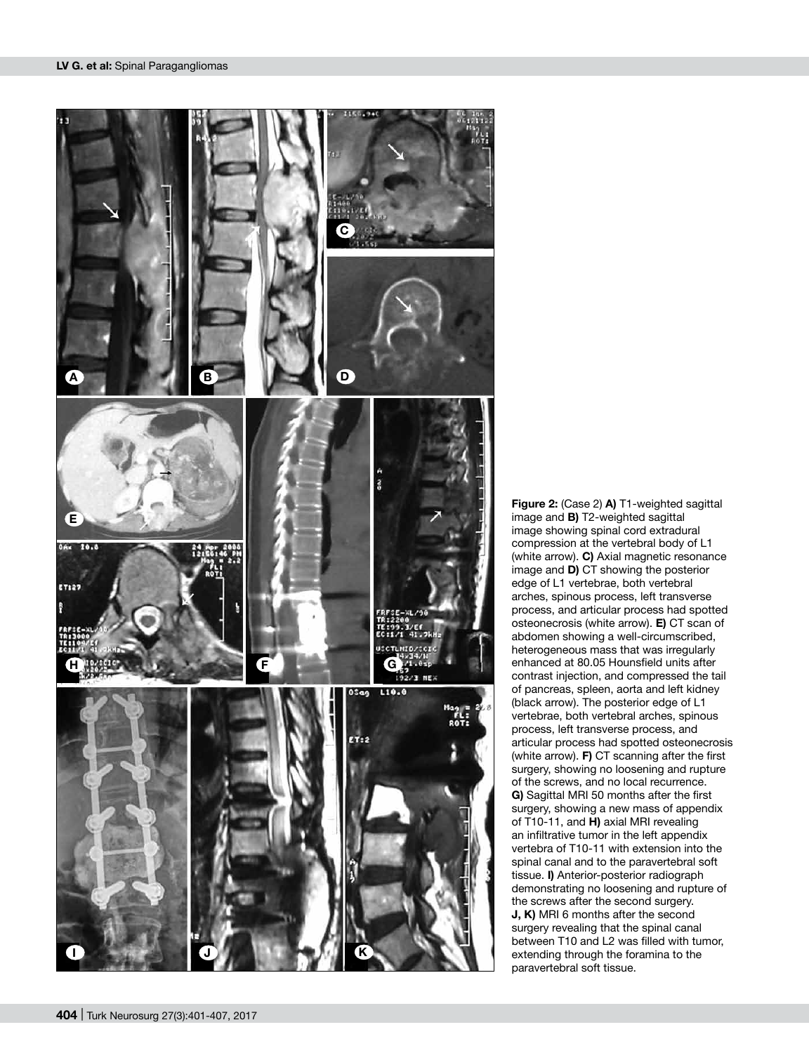

**Figure 2:** (Case 2) **a)** T1-weighted sagittal image and **b)** T2-weighted sagittal image showing spinal cord extradural compression at the vertebral body of L1 (white arrow). **c)** Axial magnetic resonance image and **d)** CT showing the posterior edge of L1 vertebrae, both vertebral arches, spinous process, left transverse process, and articular process had spotted osteonecrosis (white arrow). **e)** CT scan of abdomen showing a well-circumscribed, heterogeneous mass that was irregularly enhanced at 80.05 Hounsfield units after contrast injection, and compressed the tail of pancreas, spleen, aorta and left kidney (black arrow). The posterior edge of L1 vertebrae, both vertebral arches, spinous process, left transverse process, and articular process had spotted osteonecrosis (white arrow). **f)** CT scanning after the first surgery, showing no loosening and rupture of the screws, and no local recurrence. **g)** Sagittal MRI 50 months after the first surgery, showing a new mass of appendix of T10-11, and **h)** axial MRI revealing an infiltrative tumor in the left appendix vertebra of T10-11 with extension into the spinal canal and to the paravertebral soft tissue. **i)** Anterior-posterior radiograph demonstrating no loosening and rupture of the screws after the second surgery. **j, k)** MRI 6 months after the second surgery revealing that the spinal canal between T10 and L2 was filled with tumor, extending through the foramina to the paravertebral soft tissue.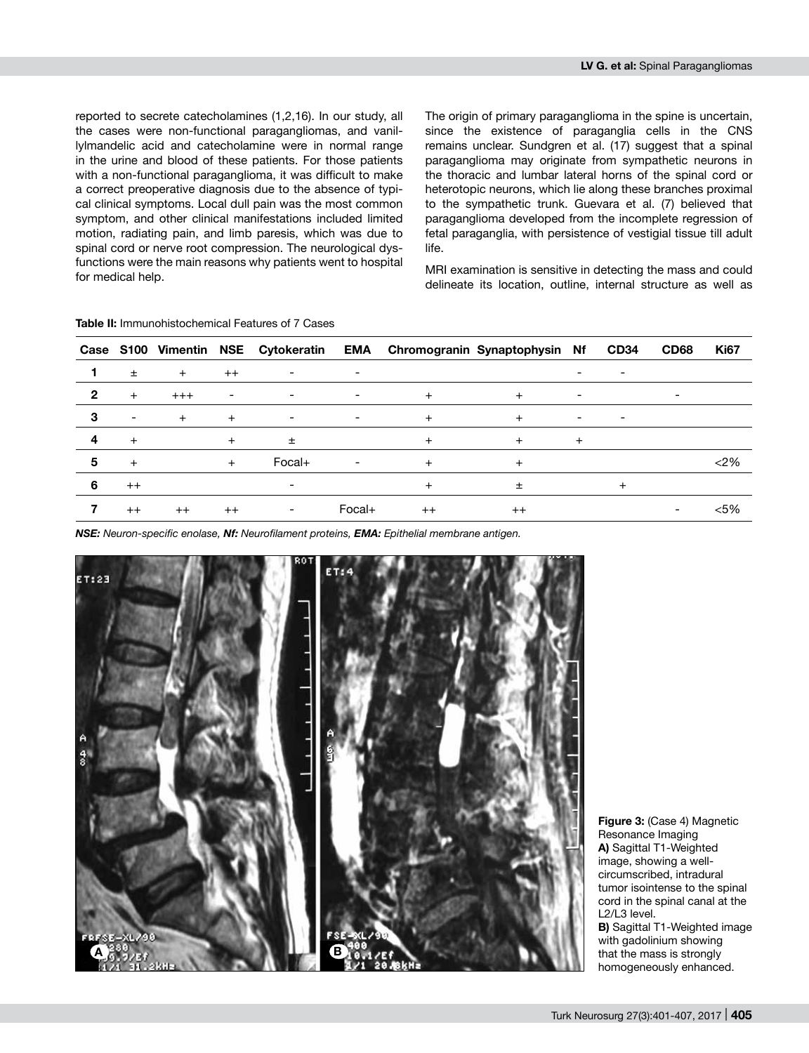reported to secrete catecholamines (1,2,16). In our study, all the cases were non-functional paragangliomas, and vanillylmandelic acid and catecholamine were in normal range in the urine and blood of these patients. For those patients with a non-functional paraganglioma, it was difficult to make a correct preoperative diagnosis due to the absence of typical clinical symptoms. Local dull pain was the most common symptom, and other clinical manifestations included limited motion, radiating pain, and limb paresis, which was due to spinal cord or nerve root compression. The neurological dysfunctions were the main reasons why patients went to hospital for medical help.

The origin of primary paraganglioma in the spine is uncertain, since the existence of paraganglia cells in the CNS remains unclear. Sundgren et al. (17) suggest that a spinal paraganglioma may originate from sympathetic neurons in the thoracic and lumbar lateral horns of the spinal cord or heterotopic neurons, which lie along these branches proximal to the sympathetic trunk. Guevara et al. (7) believed that paraganglioma developed from the incomplete regression of fetal paraganglia, with persistence of vestigial tissue till adult life.

MRI examination is sensitive in detecting the mass and could delineate its location, outline, internal structure as well as

|   |                          |       |                          |                          |                          |      | Case S100 Vimentin NSE Cytokeratin EMA Chromogranin Synaptophysin Nf |                          | <b>CD34</b>              | <b>CD68</b>              | <b>Ki67</b> |
|---|--------------------------|-------|--------------------------|--------------------------|--------------------------|------|----------------------------------------------------------------------|--------------------------|--------------------------|--------------------------|-------------|
|   | $\pm$                    | $+$   | $++$                     | $\overline{\phantom{a}}$ | $\overline{\phantom{a}}$ |      |                                                                      |                          | $\overline{\phantom{a}}$ |                          |             |
| 2 | $+$                      | $+++$ | $\overline{\phantom{a}}$ | $\overline{\phantom{a}}$ | $\overline{\phantom{a}}$ | $+$  | $+$                                                                  | ٠                        |                          | $\overline{\phantom{a}}$ |             |
| 3 | $\overline{\phantom{a}}$ | $+$   | $+$                      | ۰                        | $\overline{\phantom{a}}$ | $+$  |                                                                      | $\overline{\phantom{a}}$ | $\overline{\phantom{a}}$ |                          |             |
|   | $+$                      |       | $+$                      | 土                        |                          | $+$  | $^{+}$                                                               | $^{+}$                   |                          |                          |             |
| 5 | $+$                      |       | $+$                      | $Focal+$                 | $\overline{\phantom{a}}$ | $+$  | $\ddot{}$                                                            |                          |                          |                          | $<$ 2%      |
| 6 | $++$                     |       |                          | ۰                        |                          |      | $\pm$                                                                |                          | $^{+}$                   |                          |             |
|   | $++$                     | $++$  | $++$                     | $\overline{\phantom{a}}$ | Focal+                   | $++$ | $^{++}$                                                              |                          |                          | $\overline{\phantom{a}}$ | $< 5\%$     |

**Table II:** Immunohistochemical Features of 7 Cases

*NSE: Neuron-specific enolase, Nf: Neurofilament proteins, EMA: Epithelial membrane antigen.*



**Figure 3:** (Case 4) Magnetic Resonance Imaging **a)** Sagittal T1-Weighted image, showing a wellcircumscribed, intradural tumor isointense to the spinal cord in the spinal canal at the L2/L3 level.

**B)** Sagittal T1-Weighted image with gadolinium showing that the mass is strongly homogeneously enhanced.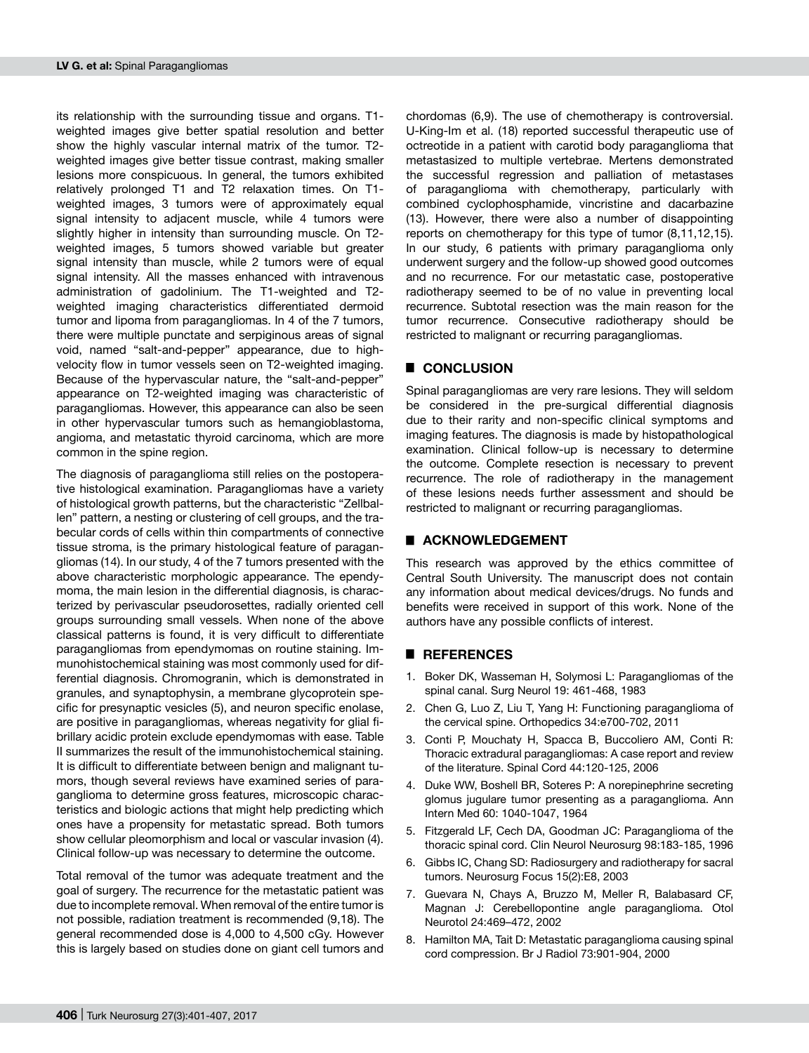its relationship with the surrounding tissue and organs. T1 weighted images give better spatial resolution and better show the highly vascular internal matrix of the tumor. T2 weighted images give better tissue contrast, making smaller lesions more conspicuous. In general, the tumors exhibited relatively prolonged T1 and T2 relaxation times. On T1 weighted images, 3 tumors were of approximately equal signal intensity to adjacent muscle, while 4 tumors were slightly higher in intensity than surrounding muscle. On T2 weighted images, 5 tumors showed variable but greater signal intensity than muscle, while 2 tumors were of equal signal intensity. All the masses enhanced with intravenous administration of gadolinium. The T1-weighted and T2 weighted imaging characteristics differentiated dermoid tumor and lipoma from paragangliomas. In 4 of the 7 tumors, there were multiple punctate and serpiginous areas of signal void, named "salt-and-pepper" appearance, due to highvelocity flow in tumor vessels seen on T2-weighted imaging. Because of the hypervascular nature, the "salt-and-pepper" appearance on T2-weighted imaging was characteristic of paragangliomas. However, this appearance can also be seen in other hypervascular tumors such as hemangioblastoma, angioma, and metastatic thyroid carcinoma, which are more common in the spine region.

The diagnosis of paraganglioma still relies on the postoperative histological examination. Paragangliomas have a variety of histological growth patterns, but the characteristic "Zellballen" pattern, a nesting or clustering of cell groups, and the trabecular cords of cells within thin compartments of connective tissue stroma, is the primary histological feature of paragangliomas (14). In our study, 4 of the 7 tumors presented with the above characteristic morphologic appearance. The ependymoma, the main lesion in the differential diagnosis, is characterized by perivascular pseudorosettes, radially oriented cell groups surrounding small vessels. When none of the above classical patterns is found, it is very difficult to differentiate paragangliomas from ependymomas on routine staining. Immunohistochemical staining was most commonly used for differential diagnosis. Chromogranin, which is demonstrated in granules, and synaptophysin, a membrane glycoprotein specific for presynaptic vesicles (5), and neuron specific enolase, are positive in paragangliomas, whereas negativity for glial fibrillary acidic protein exclude ependymomas with ease. Table II summarizes the result of the immunohistochemical staining. It is difficult to differentiate between benign and malignant tumors, though several reviews have examined series of paraganglioma to determine gross features, microscopic characteristics and biologic actions that might help predicting which ones have a propensity for metastatic spread. Both tumors show cellular pleomorphism and local or vascular invasion (4). Clinical follow-up was necessary to determine the outcome.

Total removal of the tumor was adequate treatment and the goal of surgery. The recurrence for the metastatic patient was due to incomplete removal. When removal of the entire tumor is not possible, radiation treatment is recommended (9,18). The general recommended dose is 4,000 to 4,500 cGy. However this is largely based on studies done on giant cell tumors and

chordomas (6,9). The use of chemotherapy is controversial. U-King-Im et al. (18) reported successful therapeutic use of octreotide in a patient with carotid body paraganglioma that metastasized to multiple vertebrae. Mertens demonstrated the successful regression and palliation of metastases of paraganglioma with chemotherapy, particularly with combined cyclophosphamide, vincristine and dacarbazine (13). However, there were also a number of disappointing reports on chemotherapy for this type of tumor (8,11,12,15). In our study, 6 patients with primary paraganglioma only underwent surgery and the follow-up showed good outcomes and no recurrence. For our metastatic case, postoperative radiotherapy seemed to be of no value in preventing local recurrence. Subtotal resection was the main reason for the tumor recurrence. Consecutive radiotherapy should be restricted to malignant or recurring paragangliomas.

## █ **CONCLUSION**

Spinal paragangliomas are very rare lesions. They will seldom be considered in the pre-surgical differential diagnosis due to their rarity and non-specific clinical symptoms and imaging features. The diagnosis is made by histopathological examination. Clinical follow-up is necessary to determine the outcome. Complete resection is necessary to prevent recurrence. The role of radiotherapy in the management of these lesions needs further assessment and should be restricted to malignant or recurring paragangliomas.

#### **E** ACKNOWLEDGEMENT

This research was approved by the ethics committee of Central South University. The manuscript does not contain any information about medical devices/drugs. No funds and benefits were received in support of this work. None of the authors have any possible conflicts of interest.

#### █ **REFERENCES**

- 1. Boker DK, Wasseman H, Solymosi L: Paragangliomas of the spinal canal. Surg Neurol 19: 461-468, 1983
- 2. Chen G, Luo Z, Liu T, Yang H: Functioning paraganglioma of the cervical spine. Orthopedics 34:e700-702, 2011
- 3. Conti P, Mouchaty H, Spacca B, Buccoliero AM, Conti R: Thoracic extradural paragangliomas: A case report and review of the literature. Spinal Cord 44:120-125, 2006
- 4. Duke WW, Boshell BR, Soteres P: A norepinephrine secreting glomus jugulare tumor presenting as a paraganglioma. Ann Intern Med 60: 1040-1047, 1964
- 5. Fitzgerald LF, Cech DA, Goodman JC: Paraganglioma of the thoracic spinal cord. Clin Neurol Neurosurg 98:183-185, 1996
- 6. Gibbs IC, Chang SD: Radiosurgery and radiotherapy for sacral tumors. Neurosurg Focus 15(2):E8, 2003
- 7. Guevara N, Chays A, Bruzzo M, Meller R, Balabasard CF, Magnan J: Cerebellopontine angle paraganglioma. Otol Neurotol 24:469–472, 2002
- 8. Hamilton MA, Tait D: Metastatic paraganglioma causing spinal cord compression. Br J Radiol 73:901-904, 2000